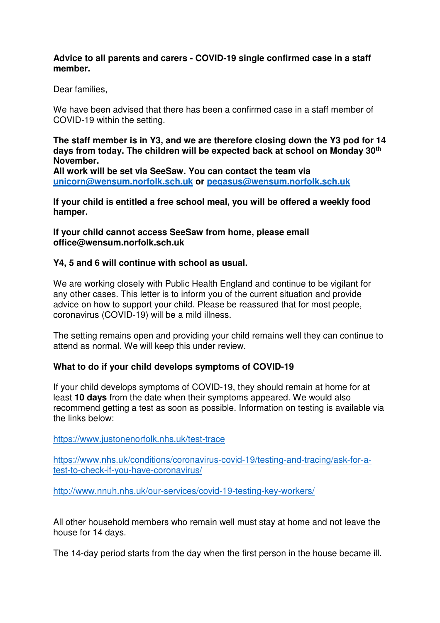### **Advice to all parents and carers - COVID-19 single confirmed case in a staff member.**

Dear families,

We have been advised that there has been a confirmed case in a staff member of COVID-19 within the setting.

**The staff member is in Y3, and we are therefore closing down the Y3 pod for 14 days from today. The children will be expected back at school on Monday 30th November.** 

**All work will be set via SeeSaw. You can contact the team via unicorn@wensum.norfolk.sch.uk or pegasus@wensum.norfolk.sch.uk**

**If your child is entitled a free school meal, you will be offered a weekly food hamper.** 

**If your child cannot access SeeSaw from home, please email office@wensum.norfolk.sch.uk** 

#### **Y4, 5 and 6 will continue with school as usual.**

We are working closely with Public Health England and continue to be vigilant for any other cases. This letter is to inform you of the current situation and provide advice on how to support your child. Please be reassured that for most people, coronavirus (COVID-19) will be a mild illness.

The setting remains open and providing your child remains well they can continue to attend as normal. We will keep this under review.

### **What to do if your child develops symptoms of COVID-19**

If your child develops symptoms of COVID-19, they should remain at home for at least **10 days** from the date when their symptoms appeared. We would also recommend getting a test as soon as possible. Information on testing is available via the links below:

https://www.justonenorfolk.nhs.uk/test-trace

https://www.nhs.uk/conditions/coronavirus-covid-19/testing-and-tracing/ask-for-atest-to-check-if-you-have-coronavirus/

http://www.nnuh.nhs.uk/our-services/covid-19-testing-key-workers/

All other household members who remain well must stay at home and not leave the house for 14 days.

The 14-day period starts from the day when the first person in the house became ill.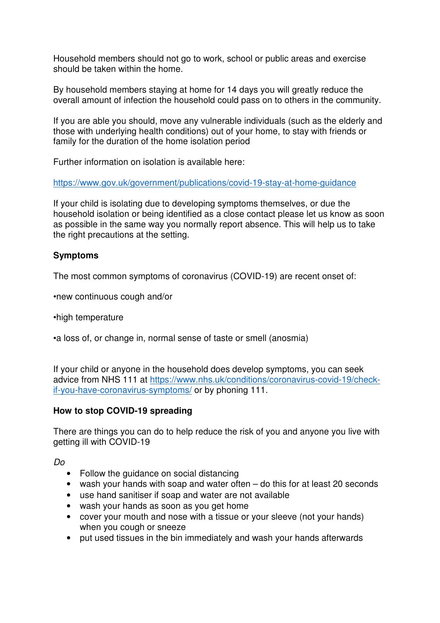Household members should not go to work, school or public areas and exercise should be taken within the home.

By household members staying at home for 14 days you will greatly reduce the overall amount of infection the household could pass on to others in the community.

If you are able you should, move any vulnerable individuals (such as the elderly and those with underlying health conditions) out of your home, to stay with friends or family for the duration of the home isolation period

Further information on isolation is available here:

https://www.gov.uk/government/publications/covid-19-stay-at-home-guidance

If your child is isolating due to developing symptoms themselves, or due the household isolation or being identified as a close contact please let us know as soon as possible in the same way you normally report absence. This will help us to take the right precautions at the setting.

## **Symptoms**

The most common symptoms of coronavirus (COVID-19) are recent onset of:

•new continuous cough and/or

•high temperature

•a loss of, or change in, normal sense of taste or smell (anosmia)

If your child or anyone in the household does develop symptoms, you can seek advice from NHS 111 at https://www.nhs.uk/conditions/coronavirus-covid-19/checkif-you-have-coronavirus-symptoms/ or by phoning 111.

### **How to stop COVID-19 spreading**

There are things you can do to help reduce the risk of you and anyone you live with getting ill with COVID-19

Do

- Follow the guidance on social distancing
- wash your hands with soap and water often do this for at least 20 seconds
- use hand sanitiser if soap and water are not available
- wash your hands as soon as you get home
- cover your mouth and nose with a tissue or your sleeve (not your hands) when you cough or sneeze
- put used tissues in the bin immediately and wash your hands afterwards